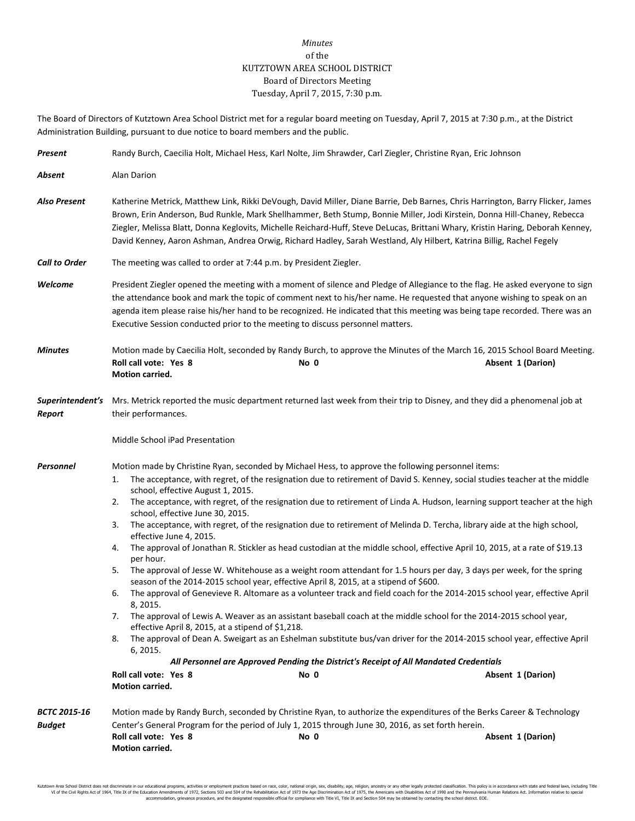## *Minutes* of the KUTZTOWN AREA SCHOOL DISTRICT Board of Directors Meeting Tuesday, April 7, 2015, 7:30 p.m.

The Board of Directors of Kutztown Area School District met for a regular board meeting on Tuesday, April 7, 2015 at 7:30 p.m., at the District Administration Building, pursuant to due notice to board members and the public.

| Present                              | Randy Burch, Caecilia Holt, Michael Hess, Karl Nolte, Jim Shrawder, Carl Ziegler, Christine Ryan, Eric Johnson                                                                                                                                                                                                                                                                                                                                                                                                                                                                                                                                                                                                                                                                                                                                                                                                                                                                                                                                                                                                                                                                                                                                                                                                                                                                                                                                                                                                                                                                                                                                   |  |  |  |  |  |  |
|--------------------------------------|--------------------------------------------------------------------------------------------------------------------------------------------------------------------------------------------------------------------------------------------------------------------------------------------------------------------------------------------------------------------------------------------------------------------------------------------------------------------------------------------------------------------------------------------------------------------------------------------------------------------------------------------------------------------------------------------------------------------------------------------------------------------------------------------------------------------------------------------------------------------------------------------------------------------------------------------------------------------------------------------------------------------------------------------------------------------------------------------------------------------------------------------------------------------------------------------------------------------------------------------------------------------------------------------------------------------------------------------------------------------------------------------------------------------------------------------------------------------------------------------------------------------------------------------------------------------------------------------------------------------------------------------------|--|--|--|--|--|--|
| Absent                               | Alan Darion                                                                                                                                                                                                                                                                                                                                                                                                                                                                                                                                                                                                                                                                                                                                                                                                                                                                                                                                                                                                                                                                                                                                                                                                                                                                                                                                                                                                                                                                                                                                                                                                                                      |  |  |  |  |  |  |
| <b>Also Present</b>                  | Katherine Metrick, Matthew Link, Rikki DeVough, David Miller, Diane Barrie, Deb Barnes, Chris Harrington, Barry Flicker, James<br>Brown, Erin Anderson, Bud Runkle, Mark Shellhammer, Beth Stump, Bonnie Miller, Jodi Kirstein, Donna Hill-Chaney, Rebecca<br>Ziegler, Melissa Blatt, Donna Keglovits, Michelle Reichard-Huff, Steve DeLucas, Brittani Whary, Kristin Haring, Deborah Kenney,<br>David Kenney, Aaron Ashman, Andrea Orwig, Richard Hadley, Sarah Westland, Aly Hilbert, Katrina Billig, Rachel Fegely                                                                                                                                                                                                                                                                                                                                                                                                                                                                                                                                                                                                                                                                                                                                                                                                                                                                                                                                                                                                                                                                                                                            |  |  |  |  |  |  |
| <b>Call to Order</b>                 | The meeting was called to order at 7:44 p.m. by President Ziegler.                                                                                                                                                                                                                                                                                                                                                                                                                                                                                                                                                                                                                                                                                                                                                                                                                                                                                                                                                                                                                                                                                                                                                                                                                                                                                                                                                                                                                                                                                                                                                                               |  |  |  |  |  |  |
| Welcome                              | President Ziegler opened the meeting with a moment of silence and Pledge of Allegiance to the flag. He asked everyone to sign<br>the attendance book and mark the topic of comment next to his/her name. He requested that anyone wishing to speak on an<br>agenda item please raise his/her hand to be recognized. He indicated that this meeting was being tape recorded. There was an<br>Executive Session conducted prior to the meeting to discuss personnel matters.                                                                                                                                                                                                                                                                                                                                                                                                                                                                                                                                                                                                                                                                                                                                                                                                                                                                                                                                                                                                                                                                                                                                                                       |  |  |  |  |  |  |
| <b>Minutes</b>                       | Motion made by Caecilia Holt, seconded by Randy Burch, to approve the Minutes of the March 16, 2015 School Board Meeting.<br>Roll call vote: Yes 8<br>No 0<br>Absent 1 (Darion)<br>Motion carried.                                                                                                                                                                                                                                                                                                                                                                                                                                                                                                                                                                                                                                                                                                                                                                                                                                                                                                                                                                                                                                                                                                                                                                                                                                                                                                                                                                                                                                               |  |  |  |  |  |  |
| Report                               | Superintendent's Mrs. Metrick reported the music department returned last week from their trip to Disney, and they did a phenomenal job at<br>their performances.                                                                                                                                                                                                                                                                                                                                                                                                                                                                                                                                                                                                                                                                                                                                                                                                                                                                                                                                                                                                                                                                                                                                                                                                                                                                                                                                                                                                                                                                                |  |  |  |  |  |  |
|                                      | Middle School iPad Presentation                                                                                                                                                                                                                                                                                                                                                                                                                                                                                                                                                                                                                                                                                                                                                                                                                                                                                                                                                                                                                                                                                                                                                                                                                                                                                                                                                                                                                                                                                                                                                                                                                  |  |  |  |  |  |  |
| Personnel                            | Motion made by Christine Ryan, seconded by Michael Hess, to approve the following personnel items:<br>The acceptance, with regret, of the resignation due to retirement of David S. Kenney, social studies teacher at the middle<br>1.<br>school, effective August 1, 2015.<br>The acceptance, with regret, of the resignation due to retirement of Linda A. Hudson, learning support teacher at the high<br>2.<br>school, effective June 30, 2015.<br>The acceptance, with regret, of the resignation due to retirement of Melinda D. Tercha, library aide at the high school,<br>3.<br>effective June 4, 2015.<br>The approval of Jonathan R. Stickler as head custodian at the middle school, effective April 10, 2015, at a rate of \$19.13<br>4.<br>per hour.<br>The approval of Jesse W. Whitehouse as a weight room attendant for 1.5 hours per day, 3 days per week, for the spring<br>5.<br>season of the 2014-2015 school year, effective April 8, 2015, at a stipend of \$600.<br>The approval of Genevieve R. Altomare as a volunteer track and field coach for the 2014-2015 school year, effective April<br>6.<br>8, 2015.<br>The approval of Lewis A. Weaver as an assistant baseball coach at the middle school for the 2014-2015 school year,<br>7.<br>effective April 8, 2015, at a stipend of \$1,218.<br>The approval of Dean A. Sweigart as an Eshelman substitute bus/van driver for the 2014-2015 school year, effective April<br>8.<br>6, 2015.<br>All Personnel are Approved Pending the District's Receipt of All Mandated Credentials<br>Roll call vote: Yes 8<br>No 0<br>Absent 1 (Darion)<br><b>Motion carried.</b> |  |  |  |  |  |  |
| <b>BCTC 2015-16</b><br><b>Budget</b> | Motion made by Randy Burch, seconded by Christine Ryan, to authorize the expenditures of the Berks Career & Technology<br>Center's General Program for the period of July 1, 2015 through June 30, 2016, as set forth herein.<br>Roll call vote: Yes 8<br>Absent 1 (Darion)<br>No 0<br>Motion carried.                                                                                                                                                                                                                                                                                                                                                                                                                                                                                                                                                                                                                                                                                                                                                                                                                                                                                                                                                                                                                                                                                                                                                                                                                                                                                                                                           |  |  |  |  |  |  |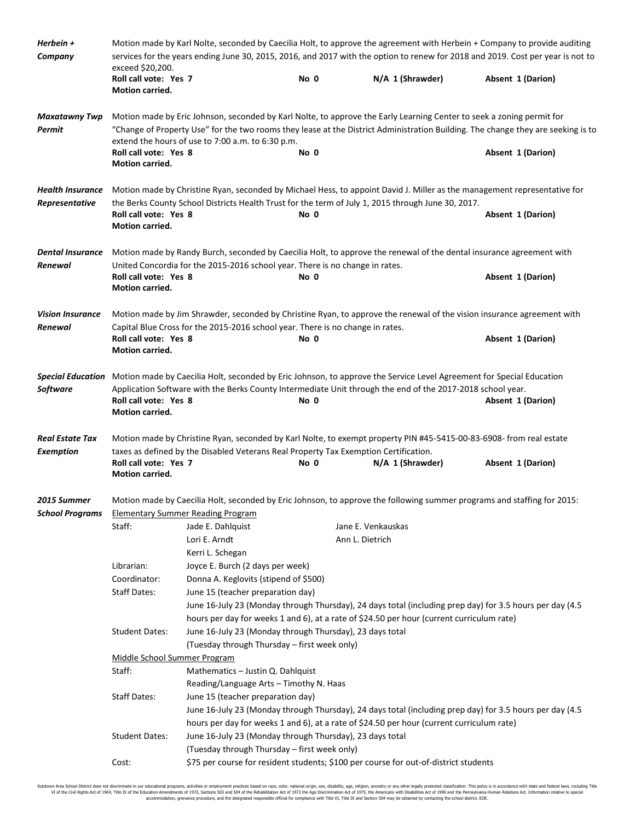| Herbein +<br>Company                       | Motion made by Karl Nolte, seconded by Caecilia Holt, to approve the agreement with Herbein + Company to provide auditing<br>services for the years ending June 30, 2015, 2016, and 2017 with the option to renew for 2018 and 2019. Cost per year is not to<br>exceed \$20,200.                               |                                                                              |      |                                                                                                    |                                                                                                                          |  |  |  |
|--------------------------------------------|----------------------------------------------------------------------------------------------------------------------------------------------------------------------------------------------------------------------------------------------------------------------------------------------------------------|------------------------------------------------------------------------------|------|----------------------------------------------------------------------------------------------------|--------------------------------------------------------------------------------------------------------------------------|--|--|--|
|                                            | Roll call vote: Yes 7<br>Motion carried.                                                                                                                                                                                                                                                                       |                                                                              | No 0 | N/A 1 (Shrawder)                                                                                   | Absent 1 (Darion)                                                                                                        |  |  |  |
| <b>Maxatawny Twp</b><br>Permit             | Motion made by Eric Johnson, seconded by Karl Nolte, to approve the Early Learning Center to seek a zoning permit for<br>"Change of Property Use" for the two rooms they lease at the District Administration Building. The change they are seeking is to<br>extend the hours of use to 7:00 a.m. to 6:30 p.m. |                                                                              |      |                                                                                                    |                                                                                                                          |  |  |  |
|                                            | Roll call vote: Yes 8<br>Motion carried.                                                                                                                                                                                                                                                                       |                                                                              | No 0 |                                                                                                    | Absent 1 (Darion)                                                                                                        |  |  |  |
| <b>Health Insurance</b><br>Representative  |                                                                                                                                                                                                                                                                                                                |                                                                              |      | the Berks County School Districts Health Trust for the term of July 1, 2015 through June 30, 2017. | Motion made by Christine Ryan, seconded by Michael Hess, to appoint David J. Miller as the management representative for |  |  |  |
|                                            | Roll call vote: Yes 8<br>Motion carried.                                                                                                                                                                                                                                                                       |                                                                              | No 0 |                                                                                                    | Absent 1 (Darion)                                                                                                        |  |  |  |
| <b>Dental Insurance</b><br>Renewal         | Motion made by Randy Burch, seconded by Caecilia Holt, to approve the renewal of the dental insurance agreement with<br>United Concordia for the 2015-2016 school year. There is no change in rates.                                                                                                           |                                                                              |      |                                                                                                    |                                                                                                                          |  |  |  |
|                                            | Roll call vote: Yes 8<br>Motion carried.                                                                                                                                                                                                                                                                       |                                                                              | No 0 |                                                                                                    | Absent 1 (Darion)                                                                                                        |  |  |  |
| <b>Vision Insurance</b><br>Renewal         | Motion made by Jim Shrawder, seconded by Christine Ryan, to approve the renewal of the vision insurance agreement with<br>Capital Blue Cross for the 2015-2016 school year. There is no change in rates.                                                                                                       |                                                                              |      |                                                                                                    |                                                                                                                          |  |  |  |
|                                            | Roll call vote: Yes 8<br>Motion carried.                                                                                                                                                                                                                                                                       |                                                                              | No 0 |                                                                                                    | Absent 1 (Darion)                                                                                                        |  |  |  |
| <b>Software</b>                            | Special Education Motion made by Caecilia Holt, seconded by Eric Johnson, to approve the Service Level Agreement for Special Education<br>Application Software with the Berks County Intermediate Unit through the end of the 2017-2018 school year.                                                           |                                                                              |      |                                                                                                    |                                                                                                                          |  |  |  |
|                                            | Roll call vote: Yes 8<br>Motion carried.                                                                                                                                                                                                                                                                       |                                                                              | No 0 |                                                                                                    | Absent 1 (Darion)                                                                                                        |  |  |  |
| <b>Real Estate Tax</b><br><b>Exemption</b> | Motion made by Christine Ryan, seconded by Karl Nolte, to exempt property PIN #45-5415-00-83-6908- from real estate<br>taxes as defined by the Disabled Veterans Real Property Tax Exemption Certification.                                                                                                    |                                                                              |      |                                                                                                    |                                                                                                                          |  |  |  |
|                                            | Roll call vote: Yes 7<br>Motion carried.                                                                                                                                                                                                                                                                       |                                                                              | No 0 | N/A 1 (Shrawder)                                                                                   | Absent 1 (Darion)                                                                                                        |  |  |  |
| 2015 Summer                                | Motion made by Caecilia Holt, seconded by Eric Johnson, to approve the following summer programs and staffing for 2015:<br><b>School Programs</b> Elementary Summer Reading Program                                                                                                                            |                                                                              |      |                                                                                                    |                                                                                                                          |  |  |  |
|                                            | Staff:                                                                                                                                                                                                                                                                                                         | Jade E. Dahlquist<br>Lori E. Arndt                                           |      | Jane E. Venkauskas<br>Ann L. Dietrich                                                              |                                                                                                                          |  |  |  |
|                                            | Librarian:                                                                                                                                                                                                                                                                                                     | Kerri L. Schegan<br>Joyce E. Burch (2 days per week)                         |      |                                                                                                    |                                                                                                                          |  |  |  |
|                                            | Coordinator:                                                                                                                                                                                                                                                                                                   | Donna A. Keglovits (stipend of \$500)                                        |      |                                                                                                    |                                                                                                                          |  |  |  |
|                                            | <b>Staff Dates:</b>                                                                                                                                                                                                                                                                                            | June 15 (teacher preparation day)                                            |      |                                                                                                    |                                                                                                                          |  |  |  |
|                                            |                                                                                                                                                                                                                                                                                                                |                                                                              |      | hours per day for weeks 1 and 6), at a rate of \$24.50 per hour (current curriculum rate)          | June 16-July 23 (Monday through Thursday), 24 days total (including prep day) for 3.5 hours per day (4.5                 |  |  |  |
|                                            | <b>Student Dates:</b>                                                                                                                                                                                                                                                                                          | June 16-July 23 (Monday through Thursday), 23 days total                     |      |                                                                                                    |                                                                                                                          |  |  |  |
|                                            |                                                                                                                                                                                                                                                                                                                | (Tuesday through Thursday - first week only)                                 |      |                                                                                                    |                                                                                                                          |  |  |  |
|                                            | Middle School Summer Program                                                                                                                                                                                                                                                                                   |                                                                              |      |                                                                                                    |                                                                                                                          |  |  |  |
|                                            | Staff:                                                                                                                                                                                                                                                                                                         | Mathematics - Justin Q. Dahlquist                                            |      |                                                                                                    |                                                                                                                          |  |  |  |
|                                            | <b>Staff Dates:</b>                                                                                                                                                                                                                                                                                            | Reading/Language Arts - Timothy N. Haas<br>June 15 (teacher preparation day) |      |                                                                                                    |                                                                                                                          |  |  |  |
|                                            |                                                                                                                                                                                                                                                                                                                |                                                                              |      |                                                                                                    | June 16-July 23 (Monday through Thursday), 24 days total (including prep day) for 3.5 hours per day (4.5                 |  |  |  |
|                                            |                                                                                                                                                                                                                                                                                                                |                                                                              |      | hours per day for weeks 1 and 6), at a rate of \$24.50 per hour (current curriculum rate)          |                                                                                                                          |  |  |  |
|                                            | <b>Student Dates:</b>                                                                                                                                                                                                                                                                                          | June 16-July 23 (Monday through Thursday), 23 days total                     |      |                                                                                                    |                                                                                                                          |  |  |  |
|                                            |                                                                                                                                                                                                                                                                                                                | (Tuesday through Thursday - first week only)                                 |      |                                                                                                    |                                                                                                                          |  |  |  |
|                                            | Cost:                                                                                                                                                                                                                                                                                                          |                                                                              |      | \$75 per course for resident students; \$100 per course for out-of-district students               |                                                                                                                          |  |  |  |

Kutztown Area School District does not discriminate in our educational programs, activities or employment practices based on race, color, national origin, sex, disability, age, religion, ancestry or any other leally prote